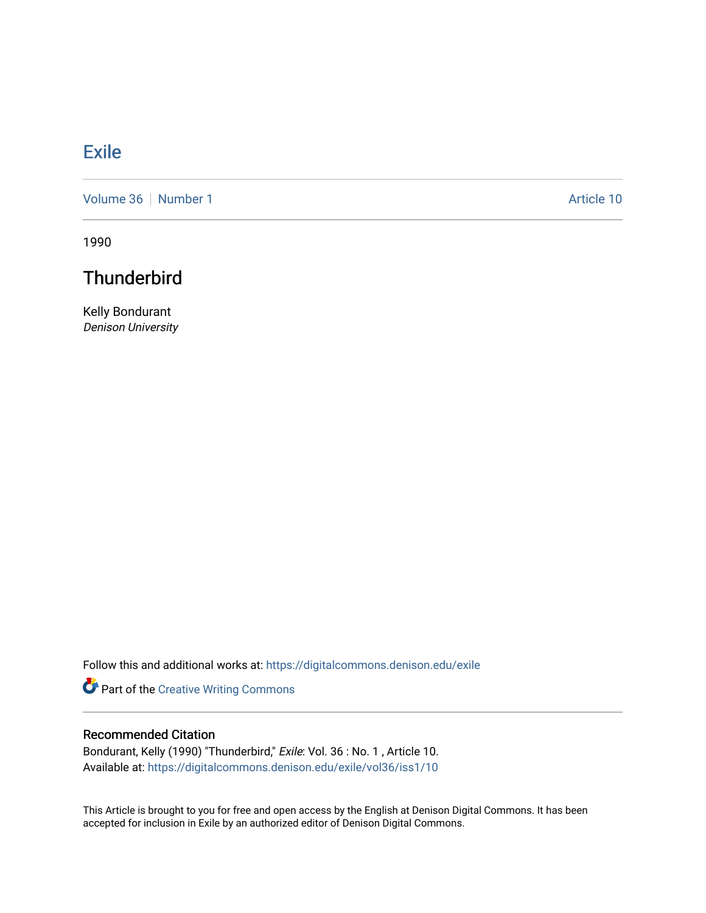## **[Exile](https://digitalcommons.denison.edu/exile)**

[Volume 36](https://digitalcommons.denison.edu/exile/vol36) [Number 1](https://digitalcommons.denison.edu/exile/vol36/iss1) Article 10

1990

## **Thunderbird**

Kelly Bondurant Denison University

Follow this and additional works at: [https://digitalcommons.denison.edu/exile](https://digitalcommons.denison.edu/exile?utm_source=digitalcommons.denison.edu%2Fexile%2Fvol36%2Fiss1%2F10&utm_medium=PDF&utm_campaign=PDFCoverPages) 

Part of the [Creative Writing Commons](http://network.bepress.com/hgg/discipline/574?utm_source=digitalcommons.denison.edu%2Fexile%2Fvol36%2Fiss1%2F10&utm_medium=PDF&utm_campaign=PDFCoverPages) 

## Recommended Citation

Bondurant, Kelly (1990) "Thunderbird," Exile: Vol. 36 : No. 1 , Article 10. Available at: [https://digitalcommons.denison.edu/exile/vol36/iss1/10](https://digitalcommons.denison.edu/exile/vol36/iss1/10?utm_source=digitalcommons.denison.edu%2Fexile%2Fvol36%2Fiss1%2F10&utm_medium=PDF&utm_campaign=PDFCoverPages)

This Article is brought to you for free and open access by the English at Denison Digital Commons. It has been accepted for inclusion in Exile by an authorized editor of Denison Digital Commons.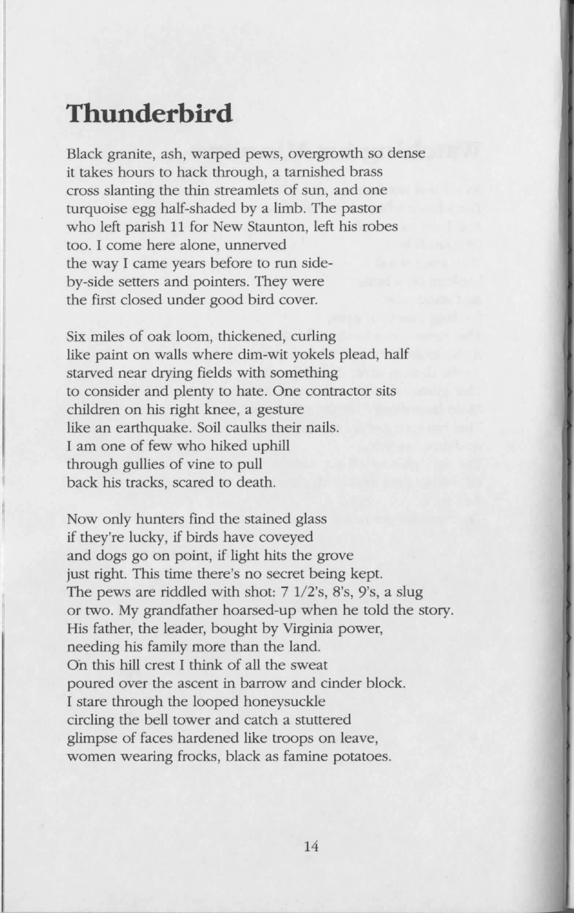## **Thunderbird**

Black granite, ash, warped pews, overgrowth so dense it takes hours to hack through, a tarnished brass cross slanting the thin streamlets of sun, and one turquoise egg half-shaded by a limb. The pastor who left parish 11 for New Staunton, left his robes too. I come here alone, unnerved the way I came years before to run sideby-side setters and pointers. They were the first closed under good bird cover.

Six miles of oak loom, thickened, curling like paint on walls where dim-wit yokels plead, half starved near drying fields with something to consider and plenty to hate. One contractor sits children on his right knee, a gesture like an earthquake. Soil caulks their nails. I am one of few who hiked uphill through gullies of vine to pull back his tracks, scared to death.

Now only hunters find the stained glass if they're lucky, if birds have coveyed and dogs go on point, if light hits the grove just right. This time there's no secret being kept. The pews are riddled with shot:  $7 \frac{1}{2}$ 's, 8's, 9's, a slug or two. My grandfather hoarsed-up when he told the story. His father, the leader, bought by Virginia power, needing his family more than the land. On this hill crest I think of all the sweat poured over the ascent in barrow and cinder block. I stare through the looped honeysuckle circling the bell tower and catch a stuttered glimpse of faces hardened like troops on leave, women wearing frocks, black as famine potatoes.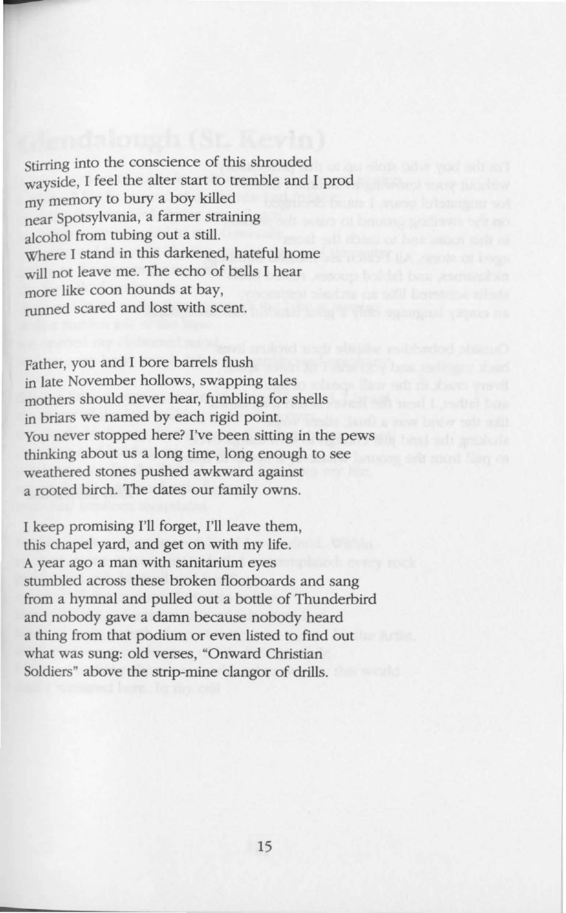stirring into the conscience of this shrouded wayside, I feel the alter start to tremble and I prod my memory to bury a boy killed near Spotsylvania, a farmer straining alcohol from tubing out a still. Where I stand in this darkened, hateful home will not leave me. The echo of bells I hear more like coon hounds at bay, runned scared and lost with scent.

Father, you and I bore barrels flush in late November hollows, swapping tales mothers should never hear, fumbling for shells in briars we named by each rigid point. You never stopped here? I've been sitting in the pews thinking about us a long time, long enough to see weathered stones pushed awkward against a rooted birch. The dates our family owns.

I keep promising I'll forget, I'll leave them, this chapel yard, and get on with my life. A year ago a man with sanitarium eyes stumbled across these broken floorboards and sang from a hymnal and pulled out a bottle of Thunderbird and nobody gave a damn because nobody heard a thing from that podium or even listed to find out what was sung: old verses, "Onward Christian Soldiers" above the strip-mine clangor of drills.